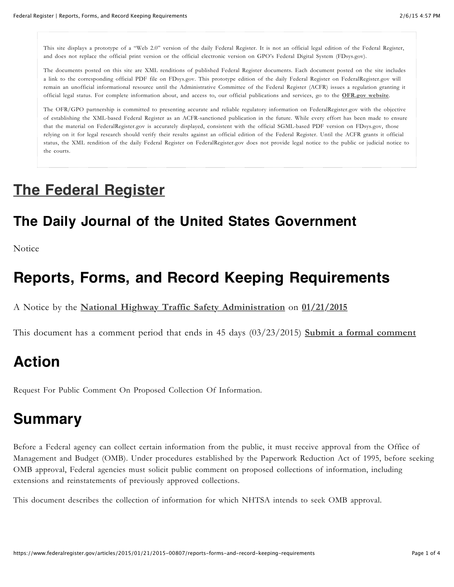This site displays a prototype of a "Web 2.0" version of the daily Federal Register. It is not an official legal edition of the Federal Register, and does not replace the official print version or the official electronic version on GPO's Federal Digital System (FDsys.gov).

The documents posted on this site are XML renditions of published Federal Register documents. Each document posted on the site includes a link to the corresponding official PDF file on FDsys.gov. This prototype edition of the daily Federal Register on FederalRegister.gov will remain an unofficial informational resource until the Administrative Committee of the Federal Register (ACFR) issues a regulation granting it official legal status. For complete information about, and access to, our official publications and services, go to the **[OFR.gov website](http://www.ofr.gov/)**.

The OFR/GPO partnership is committed to presenting accurate and reliable regulatory information on FederalRegister.gov with the objective of establishing the XML-based Federal Register as an ACFR-sanctioned publication in the future. While every effort has been made to ensure that the material on FederalRegister.gov is accurately displayed, consistent with the official SGML-based PDF version on FDsys.gov, those relying on it for legal research should verify their results against an official edition of the Federal Register. Until the ACFR grants it official status, the XML rendition of the daily Federal Register on FederalRegister.gov does not provide legal notice to the public or judicial notice to the courts.

### **[The Federal Register](https://www.federalregister.gov/)**

#### **The Daily Journal of the United States Government**

Notice

### **Reports, Forms, and Record Keeping Requirements**

A Notice by the **[National Highway Traffic Safety Administration](https://www.federalregister.gov/agencies/national-highway-traffic-safety-administration)** on **[01/21/2015](https://www.federalregister.gov/articles/2015/01/21)**

This document has a comment period that ends in 45 days (03/23/2015) **[Submit a formal comment](http://www.regulations.gov/#!submitComment;D=NHTSA-2014-0127-0001)**

## **Action**

Request For Public Comment On Proposed Collection Of Information.

### **Summary**

Before a Federal agency can collect certain information from the public, it must receive approval from the Office of Management and Budget (OMB). Under procedures established by the Paperwork Reduction Act of 1995, before seeking OMB approval, Federal agencies must solicit public comment on proposed collections of information, including extensions and reinstatements of previously approved collections.

This document describes the collection of information for which NHTSA intends to seek OMB approval.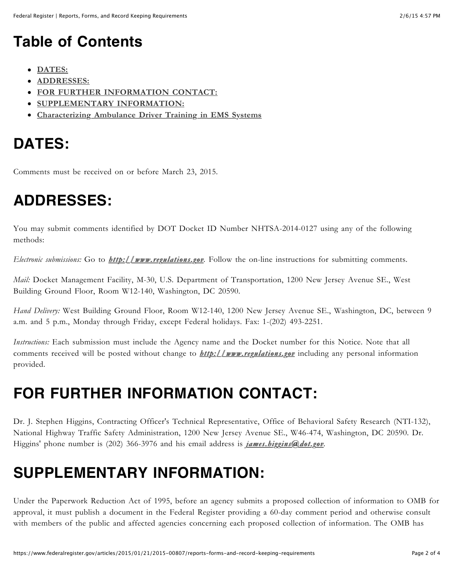## **Table of Contents**

- **[DATES:](https://www.federalregister.gov/articles/2015/01/21/2015-00807/reports-forms-and-record-keeping-requirements#h-4)**
- **[ADDRESSES:](https://www.federalregister.gov/articles/2015/01/21/2015-00807/reports-forms-and-record-keeping-requirements#addresses)**
- **[FOR FURTHER INFORMATION CONTACT:](https://www.federalregister.gov/articles/2015/01/21/2015-00807/reports-forms-and-record-keeping-requirements#h-6)**
- **[SUPPLEMENTARY INFORMATION:](https://www.federalregister.gov/articles/2015/01/21/2015-00807/reports-forms-and-record-keeping-requirements#h-7)**
- **[Characterizing Ambulance Driver Training in EMS Systems](https://www.federalregister.gov/articles/2015/01/21/2015-00807/reports-forms-and-record-keeping-requirements#h-8)**

# **DATES:**

Comments must be received on or before March 23, 2015.

## **ADDRESSES:**

You may submit comments identified by DOT Docket ID Number NHTSA-2014-0127 using any of the following methods:

*Electronic submissions:* Go to *http://www.regulations.gov [http://www.regulations.gov.](http://www.regulations.gov/)* Follow the on-line instructions for submitting comments.

*Mail:* Docket Management Facility, M-30, U.S. Department of Transportation, 1200 New Jersey Avenue SE., West Building Ground Floor, Room W12-140, Washington, DC 20590.

*Hand Delivery:* West Building Ground Floor, Room W12-140, 1200 New Jersey Avenue SE., Washington, DC, between 9 a.m. and 5 p.m., Monday through Friday, except Federal holidays. Fax: 1-(202) 493-2251.

*Instructions:* Each submission must include the Agency name and the Docket number for this Notice. Note that all comments received will be posted without change to *[http://www.regulations.gov](http://www.regulations.gov/) http://www.regulations.gov* including any personal information provided.

# **FOR FURTHER INFORMATION CONTACT:**

Dr. J. Stephen Higgins, Contracting Officer's Technical Representative, Office of Behavioral Safety Research (NTI-132), National Highway Traffic Safety Administration, 1200 New Jersey Avenue SE., W46-474, Washington, DC 20590. Dr. Higgins' phone number is (202) 366-3976 and his email address is *james.higgins@dot.gov [james.higgins@dot.gov.](mailto:james.higgins@dot.gov)*

## **SUPPLEMENTARY INFORMATION:**

Under the Paperwork Reduction Act of 1995, before an agency submits a proposed collection of information to OMB for approval, it must publish a document in the Federal Register providing a 60-day comment period and otherwise consult with members of the public and affected agencies concerning each proposed collection of information. The OMB has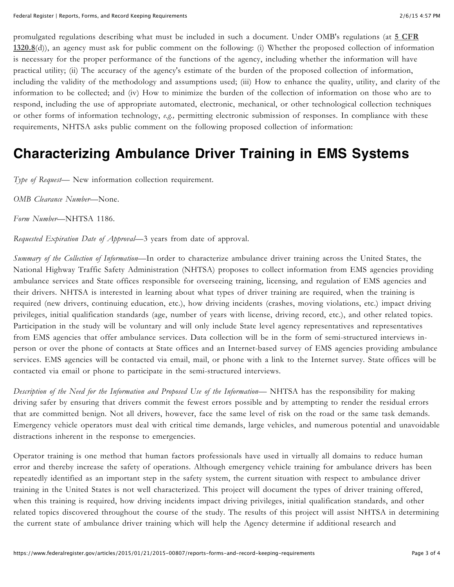promulgated regulations describing what must be included in such a document. Under OMB's regulations (at **5 CFR 1320.8**[\(d\)\), an agency must ask for public comment on the following: \(i\) Whether the proposed collection of informa](https://www.federalregister.gov/select-citation/2015/01/21/5-CFR-1320.8)tion is necessary for the proper performance of the functions of the agency, including whether the information will have practical utility; (ii) The accuracy of the agency's estimate of the burden of the proposed collection of information, including the validity of the methodology and assumptions used; (iii) How to enhance the quality, utility, and clarity of the information to be collected; and (iv) How to minimize the burden of the collection of information on those who are to respond, including the use of appropriate automated, electronic, mechanical, or other technological collection techniques or other forms of information technology, *e.g.,* permitting electronic submission of responses. In compliance with these requirements, NHTSA asks public comment on the following proposed collection of information:

#### **Characterizing Ambulance Driver Training in EMS Systems**

*Type of Request—* New information collection requirement.

*OMB Clearance Number*—None.

*Form Number*—NHTSA 1186.

*Requested Expiration Date of Approval*—3 years from date of approval.

*Summary of the Collection of Information*—In order to characterize ambulance driver training across the United States, the National Highway Traffic Safety Administration (NHTSA) proposes to collect information from EMS agencies providing ambulance services and State offices responsible for overseeing training, licensing, and regulation of EMS agencies and their drivers. NHTSA is interested in learning about what types of driver training are required, when the training is required (new drivers, continuing education, etc.), how driving incidents (crashes, moving violations, etc.) impact driving privileges, initial qualification standards (age, number of years with license, driving record, etc.), and other related topics. Participation in the study will be voluntary and will only include State level agency representatives and representatives from EMS agencies that offer ambulance services. Data collection will be in the form of semi-structured interviews inperson or over the phone of contacts at State offices and an Internet-based survey of EMS agencies providing ambulance services. EMS agencies will be contacted via email, mail, or phone with a link to the Internet survey. State offices will be contacted via email or phone to participate in the semi-structured interviews.

*Description of the Need for the Information and Proposed Use of the Information*— NHTSA has the responsibility for making driving safer by ensuring that drivers commit the fewest errors possible and by attempting to render the residual errors that are committed benign. Not all drivers, however, face the same level of risk on the road or the same task demands. Emergency vehicle operators must deal with critical time demands, large vehicles, and numerous potential and unavoidable distractions inherent in the response to emergencies.

Operator training is one method that human factors professionals have used in virtually all domains to reduce human error and thereby increase the safety of operations. Although emergency vehicle training for ambulance drivers has been repeatedly identified as an important step in the safety system, the current situation with respect to ambulance driver training in the United States is not well characterized. This project will document the types of driver training offered, when this training is required, how driving incidents impact driving privileges, initial qualification standards, and other related topics discovered throughout the course of the study. The results of this project will assist NHTSA in determining the current state of ambulance driver training which will help the Agency determine if additional research and